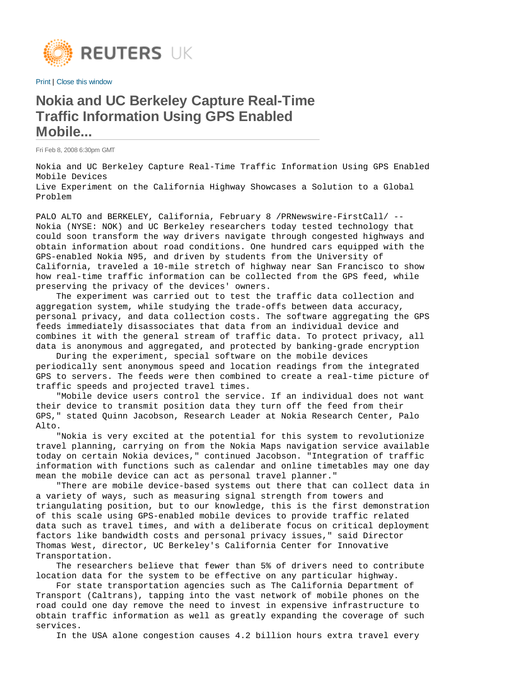

Print | Close this window

## **Nokia and UC Berkeley Capture Real-Time Traffic Information Using GPS Enabled Mobile...**

Fri Feb 8, 2008 6:30pm GMT

Nokia and UC Berkeley Capture Real-Time Traffic Information Using GPS Enabled Mobile Devices Live Experiment on the California Highway Showcases a Solution to a Global Problem

PALO ALTO and BERKELEY, California, February 8 / PRNewswire-FirstCall/ --Nokia (NYSE: NOK) and UC Berkeley researchers today tested technology that could soon transform the way drivers navigate through congested highways and obtain information about road conditions. One hundred cars equipped with the GPS-enabled Nokia N95, and driven by students from the University of California, traveled a 10-mile stretch of highway near San Francisco to show how real-time traffic information can be collected from the GPS feed, while preserving the privacy of the devices' owners.

 The experiment was carried out to test the traffic data collection and aggregation system, while studying the trade-offs between data accuracy, personal privacy, and data collection costs. The software aggregating the GPS feeds immediately disassociates that data from an individual device and combines it with the general stream of traffic data. To protect privacy, all data is anonymous and aggregated, and protected by banking-grade encryption

 During the experiment, special software on the mobile devices periodically sent anonymous speed and location readings from the integrated GPS to servers. The feeds were then combined to create a real-time picture of traffic speeds and projected travel times.

 "Mobile device users control the service. If an individual does not want their device to transmit position data they turn off the feed from their GPS," stated Quinn Jacobson, Research Leader at Nokia Research Center, Palo Alto.

 "Nokia is very excited at the potential for this system to revolutionize travel planning, carrying on from the Nokia Maps navigation service available today on certain Nokia devices," continued Jacobson. "Integration of traffic information with functions such as calendar and online timetables may one day mean the mobile device can act as personal travel planner."

 "There are mobile device-based systems out there that can collect data in a variety of ways, such as measuring signal strength from towers and triangulating position, but to our knowledge, this is the first demonstration of this scale using GPS-enabled mobile devices to provide traffic related data such as travel times, and with a deliberate focus on critical deployment factors like bandwidth costs and personal privacy issues," said Director Thomas West, director, UC Berkeley's California Center for Innovative Transportation.

 The researchers believe that fewer than 5% of drivers need to contribute location data for the system to be effective on any particular highway.

 For state transportation agencies such as The California Department of Transport (Caltrans), tapping into the vast network of mobile phones on the road could one day remove the need to invest in expensive infrastructure to obtain traffic information as well as greatly expanding the coverage of such services.

In the USA alone congestion causes 4.2 billion hours extra travel every